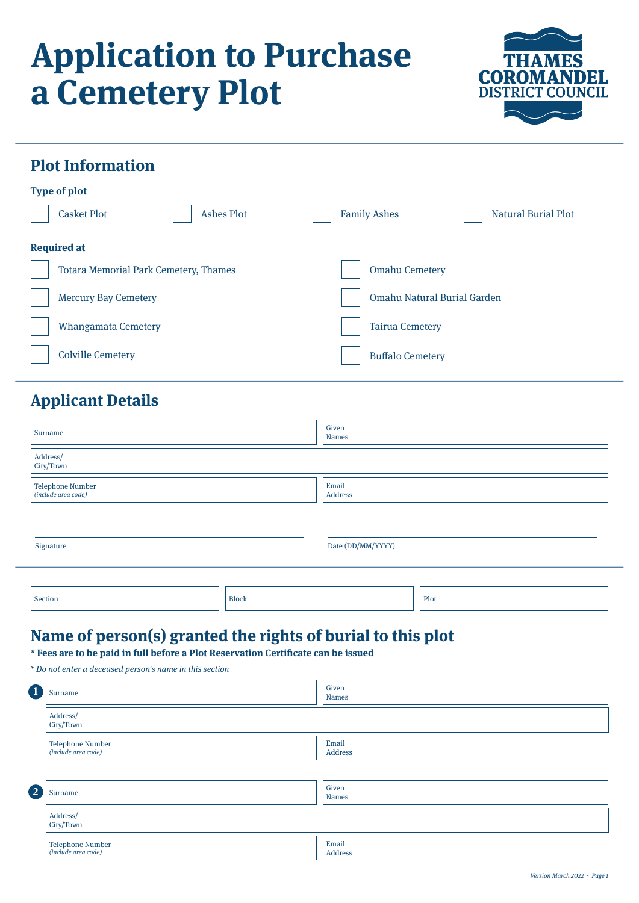# **Application to Purchase a Cemetery Plot**



## **Plot Information**

| <b>Type of plot</b>                          |                                                   |  |  |
|----------------------------------------------|---------------------------------------------------|--|--|
| <b>Ashes Plot</b><br><b>Casket Plot</b>      | <b>Family Ashes</b><br><b>Natural Burial Plot</b> |  |  |
| <b>Required at</b>                           |                                                   |  |  |
| <b>Totara Memorial Park Cemetery, Thames</b> | <b>Omahu Cemetery</b>                             |  |  |
| <b>Mercury Bay Cemetery</b>                  | Omahu Natural Burial Garden                       |  |  |
| <b>Whangamata Cemetery</b>                   | <b>Tairua Cemetery</b>                            |  |  |
| <b>Colville Cemetery</b>                     | <b>Buffalo Cemetery</b>                           |  |  |
|                                              |                                                   |  |  |

# **Applicant Details**

| Surname                                 | Given<br>Names   |  |
|-----------------------------------------|------------------|--|
| Address/<br>City/Town                   |                  |  |
| Telephone Number<br>(include area code) | Email<br>Address |  |

| Signature |              | Date (DD/MM/YYYY) |      |
|-----------|--------------|-------------------|------|
| Section   | <b>Block</b> |                   | Plot |

## **Name of person(s) granted the rights of burial to this plot**

**\* Fees are to be paid in full before a Plot Reservation Certificate can be issued**

| ้ 1                     | Surname                                 | Given<br><b>Names</b> |  |
|-------------------------|-----------------------------------------|-----------------------|--|
|                         | Address/<br>City/Town                   |                       |  |
|                         | Telephone Number<br>(include area code) | Email<br>Address      |  |
|                         |                                         |                       |  |
| $\overline{\mathbf{2}}$ | Surname                                 | Given<br><b>Names</b> |  |
|                         | Address/<br>City/Town                   |                       |  |
|                         | Telephone Number<br>(include area code) | Email<br>Address      |  |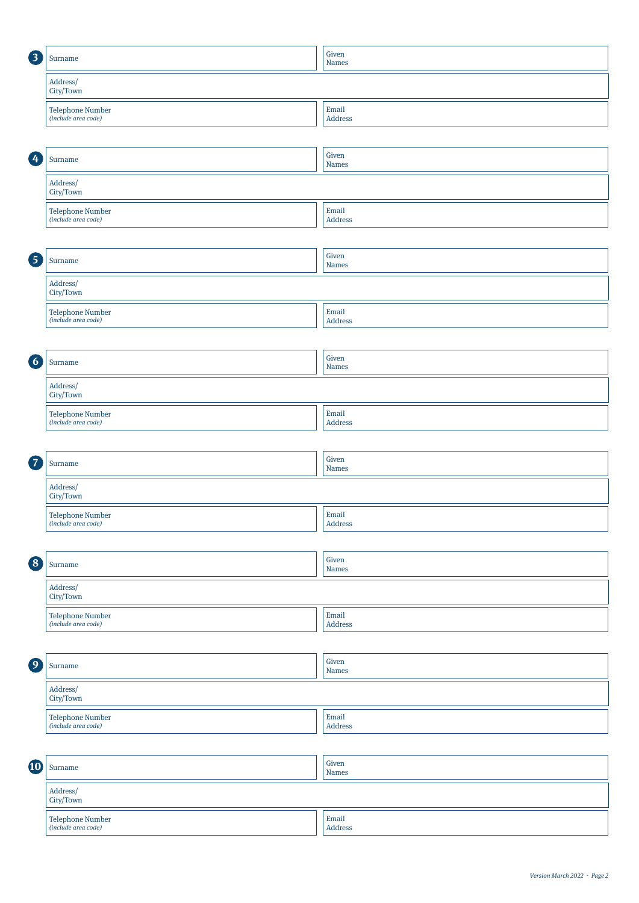| 3                     | Surname                                        | Given<br><b>Names</b>             |  |
|-----------------------|------------------------------------------------|-----------------------------------|--|
| Address/<br>City/Town |                                                |                                   |  |
|                       | Telephone Number<br>(include area code)        | Email<br>Address                  |  |
|                       |                                                |                                   |  |
| $\boldsymbol{c}$      | Surname                                        | Given<br><b>Names</b>             |  |
|                       | Address/<br>City/Town                          |                                   |  |
|                       | <b>Telephone Number</b><br>(include area code) | Email<br>Address                  |  |
|                       |                                                |                                   |  |
| 6                     | Surname                                        | Given<br><b>Names</b>             |  |
|                       | Address/<br>City/Town                          |                                   |  |
|                       | Telephone Number<br>(include area code)        | Email<br><b>Address</b>           |  |
|                       |                                                |                                   |  |
| $\overline{6}$        | Surname                                        | Given<br><b>Names</b>             |  |
|                       | Address/<br>City/Town                          |                                   |  |
|                       | Telephone Number<br>(include area code)        | Email<br>Address                  |  |
|                       |                                                |                                   |  |
| $\overline{z}$        | Surname                                        | Given<br><b>Names</b>             |  |
|                       | Address/<br>City/Town                          |                                   |  |
|                       | Telephone Number<br>(include area code)        | Email<br><b>Address</b>           |  |
|                       |                                                |                                   |  |
| $\left( 8 \right)$    | Surname                                        | Given<br><b>Names</b>             |  |
|                       | Address/<br>City/Town                          |                                   |  |
|                       | <b>Telephone Number</b><br>(include area code) | Email<br><b>Address</b>           |  |
|                       |                                                |                                   |  |
| $\overline{9}$        | Surname                                        | Given<br><b>Names</b>             |  |
|                       | Address/<br>City/Town                          |                                   |  |
|                       | Telephone Number<br>(include area code)        | $\operatorname{Email}$<br>Address |  |
|                       |                                                |                                   |  |
| 10                    | Surname                                        | Given<br><b>Names</b>             |  |
|                       | Address/<br>City/Town                          |                                   |  |
|                       | Telephone Number<br>(include area code)        | Email<br>Address                  |  |